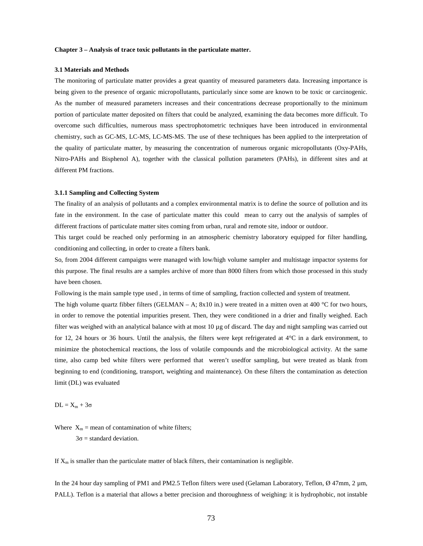### **Chapter 3 – Analysis of trace toxic pollutants in the particulate matter.**

#### **3.1 Materials and Methods**

The monitoring of particulate matter provides a great quantity of measured parameters data. Increasing importance is being given to the presence of organic micropollutants, particularly since some are known to be toxic or carcinogenic. As the number of measured parameters increases and their concentrations decrease proportionally to the minimum portion of particulate matter deposited on filters that could be analyzed, examining the data becomes more difficult. To overcome such difficulties, numerous mass spectrophotometric techniques have been introduced in environmental chemistry, such as GC-MS, LC-MS, LC-MS-MS. The use of these techniques has been applied to the interpretation of the quality of particulate matter, by measuring the concentration of numerous organic micropollutants (Oxy-PAHs, Nitro-PAHs and Bisphenol A), together with the classical pollution parameters (PAHs), in different sites and at different PM fractions.

#### **3.1.1 Sampling and Collecting System**

The finality of an analysis of pollutants and a complex environmental matrix is to define the source of pollution and its fate in the environment. In the case of particulate matter this could mean to carry out the analysis of samples of different fractions of particulate matter sites coming from urban, rural and remote site, indoor or outdoor.

This target could be reached only performing in an atmospheric chemistry laboratory equipped for filter handling, conditioning and collecting, in order to create a filters bank.

So, from 2004 different campaigns were managed with low/high volume sampler and multistage impactor systems for this purpose. The final results are a samples archive of more than 8000 filters from which those processed in this study have been chosen.

Following is the main sample type used , in terms of time of sampling, fraction collected and system of treatment.

The high volume quartz fibber filters (GELMAN – A;  $8x10$  in.) were treated in a mitten oven at 400 °C for two hours, in order to remove the potential impurities present. Then, they were conditioned in a drier and finally weighed. Each filter was weighed with an analytical balance with at most  $10 \mu$ g of discard. The day and night sampling was carried out for 12, 24 hours or 36 hours. Until the analysis, the filters were kept refrigerated at  $4^{\circ}$ C in a dark environment, to minimize the photochemical reactions, the loss of volatile compounds and the microbiological activity. At the same time, also camp bed white filters were performed that weren't usedfor sampling, but were treated as blank from beginning to end (conditioning, transport, weighting and maintenance). On these filters the contamination as detection limit (DL) was evaluated

#### $DL = X_m + 3\sigma$

Where  $X_m$  = mean of contamination of white filters;  $3\sigma$  = standard deviation.

If  $X_m$  is smaller than the particulate matter of black filters, their contamination is negligible.

In the 24 hour day sampling of PM1 and PM2.5 Teflon filters were used (Gelaman Laboratory, Teflon, Ø 47mm, 2 µm, PALL). Teflon is a material that allows a better precision and thoroughness of weighing: it is hydrophobic, not instable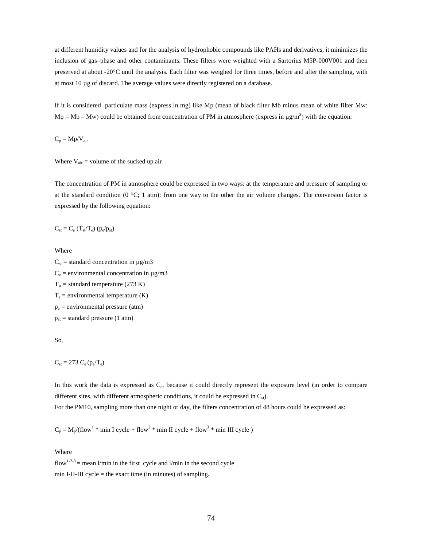at different humidity values and for the analysis of hydrophobic compounds like PAHs and derivatives, it minimizes the inclusion of gas–phase and other contaminants. These filters were weighted with a Sartorius M5P-000V001 and then preserved at about -20°C until the analysis. Each filter was weighed for three times, before and after the sampling, with at most 10 µg of discard. The average values were directly registered on a database.

If it is considered particulate mass (express in mg) like Mp (mean of black filter Mb minus mean of white filter Mw:  $Mp = Mb - Mw$ ) could be obtained from concentration of PM in atmosphere (express in  $\mu g/m^3$ ) with the equation:

 $C_p = Mp/V_{air}$ 

Where  $V_{air}$  = volume of the sucked up air

The concentration of PM in atmosphere could be expressed in two ways: at the temperature and pressure of sampling or at the standard condition ( $0^{\circ}$ C; 1 atm): from one way to the other the air volume changes. The conversion factor is expressed by the following equation:

$$
C_{st} = C_e (T_{st}/T_e) (p_e/p_{st})
$$

Where

 $C_{st}$  = standard concentration in  $\mu$ g/m3  $C_e$  = environmental concentration in  $\mu$ g/m3  $T_{st}$  = standard temperature (273 K)  $T_e$  = environmental temperature (K) pe = environmental pressure (atm)  $p_{st}$  = standard pressure (1 atm)

So,

 $C_{\rm st} = 273 \ C_{\rm e} (p_{\rm e}/T_{\rm e})$ 

In this work the data is expressed as C<sub>e</sub>, because it could directly represent the exposure level (in order to compare different sites, with different atmospheric conditions, it could be expressed in  $C_{st}$ ).

For the PM10, sampling more than one night or day, the filters concentration of 48 hours could be expressed as:

 $C_p = M_p/(flow^1 * min I cycle + flow^2 * min II cycle + flow^3 * min III cycle)$ 

Where

 $flow^{1-2-3}$  = mean l/min in the first cycle and l/min in the second cycle min I-II-III cycle  $=$  the exact time (in minutes) of sampling.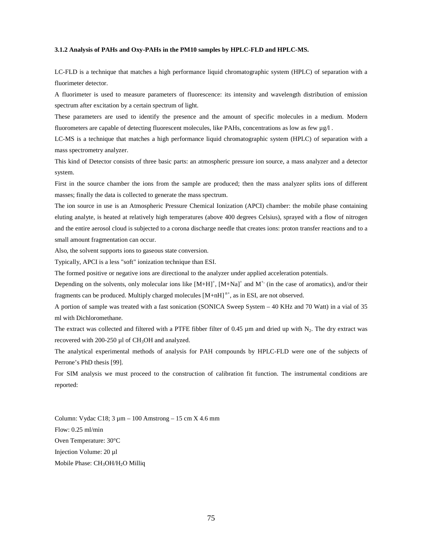# **3.1.2 Analysis of PAHs and Oxy-PAHs in the PM10 samples by HPLC-FLD and HPLC-MS.**

LC-FLD is a technique that matches a high performance liquid chromatographic system (HPLC) of separation with a fluorimeter detector.

A fluorimeter is used to measure parameters of fluorescence: its intensity and wavelength distribution of emission spectrum after excitation by a certain spectrum of light.

These parameters are used to identify the presence and the amount of specific molecules in a medium. Modern fluorometers are capable of detecting fluorescent molecules, like PAHs, concentrations as low as few  $\mu$ g/l .

LC-MS is a technique that matches a high performance liquid chromatographic system (HPLC) of separation with a mass spectrometry analyzer.

This kind of Detector consists of three basic parts: an atmospheric pressure ion source, a mass analyzer and a detector system.

First in the source chamber the ions from the sample are produced; then the mass analyzer splits ions of different masses; finally the data is collected to generate the mass spectrum.

The ion source in use is an Atmospheric Pressure Chemical Ionization (APCI) chamber: the mobile phase containing eluting analyte, is heated at relatively high temperatures (above 400 degrees Celsius), sprayed with a flow of nitrogen and the entire aerosol cloud is subjected to a corona discharge needle that creates ions: proton transfer reactions and to a small amount fragmentation can occur.

Also, the solvent supports ions to gaseous state conversion.

Typically, APCI is a less "soft" ionization technique than ESI.

The formed positive or negative ions are directional to the analyzer under applied acceleration potentials.

Depending on the solvents, only molecular ions like  $[M+H]^+$ ,  $[M+Na]^+$  and  $M^+$  (in the case of aromatics), and/or their fragments can be produced. Multiply charged molecules  $[M+nH]^{n+}$ , as in ESI, are not observed.

A portion of sample was treated with a fast sonication (SONICA Sweep System – 40 KHz and 70 Watt) in a vial of 35 ml with Dichloromethane.

The extract was collected and filtered with a PTFE fibber filter of 0.45  $\mu$ m and dried up with N<sub>2</sub>. The dry extract was recovered with  $200-250 \mu l$  of CH<sub>3</sub>OH and analyzed.

The analytical experimental methods of analysis for PAH compounds by HPLC-FLD were one of the subjects of Perrone's PhD thesis [99].

For SIM analysis we must proceed to the construction of calibration fit function. The instrumental conditions are reported:

Column: Vydac C18;  $3 \mu m - 100$  Amstrong  $- 15$  cm  $X$  4.6 mm Flow: 0.25 ml/min Oven Temperature: 30°C Injection Volume: 20 µl Mobile Phase: CH<sub>3</sub>OH/H<sub>2</sub>O Milliq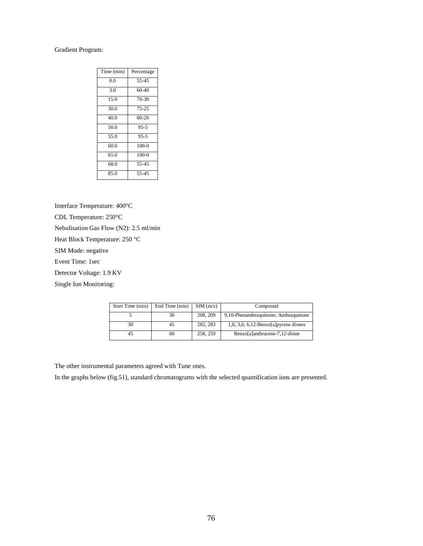# Gradient Program:

| Time (min) | Percentage |
|------------|------------|
| 0.0        | 55-45      |
| 3.0        | $60-40$    |
| 15.0       | $70-30$    |
| 30.0       | $75 - 25$  |
| 40.0       | 80-20      |
| 50.0       | $95 - 5$   |
| 55.0       | $95 - 5$   |
| 60.0       | $100-0$    |
| 65.0       | $100-0$    |
| 68.0       | 55-45      |
| 85.0       | 55-45      |

Interface Temperature: 400°C

CDL Temperature: 250°C

Nebulisation Gas Flow (N2): 2.5 ml/min

Heat Block Temperature: 250 °C

SIM Mode: negative

Event Time: 1sec

Detector Voltage: 1.9 KV

Single Ion Monitoring:

| Start Time (min) | End Time (min) | SIM(m/z) | Compound                              |
|------------------|----------------|----------|---------------------------------------|
|                  | 30             | 208, 209 | 9,10-Phenanthraquinone; Anthraquinone |
| 30               | 45             | 282, 283 | 1,6; 3,6; 6,12-Benzo[a] pyrene diones |
|                  | 60             | 258, 259 | Benzo[a]anthracene-7,12-dione         |

The other instrumental parameters agreed with Tune ones.

In the graphs below (fig.51), standard chromatograms with the selected quantification ions are presented.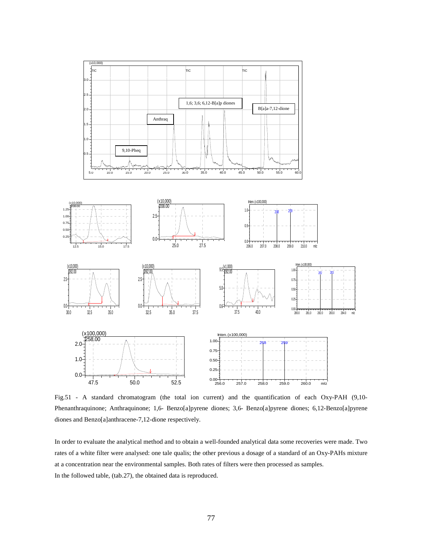

Fig.51 - A standard chromatogram (the total ion current) and the quantification of each Oxy-PAH (9,10- Phenanthraquinone; Anthraquinone; 1,6- Benzo[a]pyrene diones; 3,6- Benzo[a]pyrene diones; 6,12-Benzo[a]pyrene diones and Benzo[a]anthracene-7,12-dione respectively.

In order to evaluate the analytical method and to obtain a well-founded analytical data some recoveries were made. Two rates of a white filter were analysed: one tale qualis; the other previous a dosage of a standard of an Oxy-PAHs mixture at a concentration near the environmental samples. Both rates of filters were then processed as samples. In the followed table, (tab.27), the obtained data is reproduced.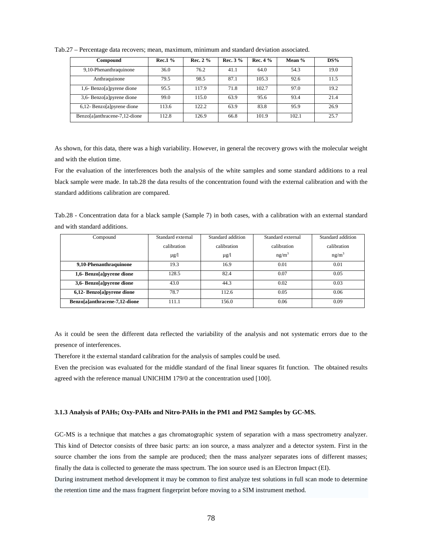| Compound                       | $Rec.1\%$ | Rec. $2\%$ | Rec. $3\%$ | Rec. $4\%$ | <b>Mean</b> % | DS%  |
|--------------------------------|-----------|------------|------------|------------|---------------|------|
| 9,10-Phenanthraquinone         | 36.0      | 76.2       | 41.1       | 64.0       | 54.3          | 19.0 |
| Anthraquinone                  | 79.5      | 98.5       | 87.1       | 105.3      | 92.6          | 11.5 |
| 1,6- Benzo[a]pyrene dione      | 95.5      | 117.9      | 71.8       | 102.7      | 97.0          | 19.2 |
| 3,6- Benzo[a]pyrene dione      | 99.0      | 115.0      | 63.9       | 95.6       | 93.4          | 21.4 |
| $6,12$ - Benzo[a] pyrene dione | 113.6     | 122.2      | 63.9       | 83.8       | 95.9          | 26.9 |
| Benzo[a]anthracene-7,12-dione  | 112.8     | 126.9      | 66.8       | 101.9      | 102.1         | 25.7 |

Tab.27 – Percentage data recovers; mean, maximum, minimum and standard deviation associated.

As shown, for this data, there was a high variability. However, in general the recovery grows with the molecular weight and with the elution time.

For the evaluation of the interferences both the analysis of the white samples and some standard additions to a real black sample were made. In tab.28 the data results of the concentration found with the external calibration and with the standard additions calibration are compared.

Tab.28 - Concentration data for a black sample (Sample 7) in both cases, with a calibration with an external standard and with standard additions.

| Compound                      | Standard external | Standard addition | Standard external | Standard addition |  |
|-------------------------------|-------------------|-------------------|-------------------|-------------------|--|
|                               | calibration       | calibration       | calibration       | calibration       |  |
|                               | $\mu$ g/l         | $\mu$ g/l         | ng/m <sup>3</sup> | $ng/m^3$          |  |
| 9,10-Phenanthraquinone        | 19.3              | 16.9              | 0.01              | 0.01              |  |
| 1,6- Benzo[a]pyrene dione     | 128.5             | 82.4              | 0.07              | 0.05              |  |
| 3,6- Benzo[a]pyrene dione     | 43.0              | 44.3              | 0.02              | 0.03              |  |
| 6,12- Benzo[a]pyrene dione    | 78.7              | 112.6             | 0.05              | 0.06              |  |
| Benzo[a]anthracene-7,12-dione | 111.1             | 156.0             | 0.06              | 0.09              |  |

As it could be seen the different data reflected the variability of the analysis and not systematic errors due to the presence of interferences.

Therefore it the external standard calibration for the analysis of samples could be used.

Even the precision was evaluated for the middle standard of the final linear squares fit function. The obtained results agreed with the reference manual UNICHIM 179/0 at the concentration used [100].

### **3.1.3 Analysis of PAHs; Oxy-PAHs and Nitro-PAHs in the PM1 and PM2 Samples by GC-MS.**

GC-MS is a technique that matches a gas chromatographic system of separation with a mass spectrometry analyzer. This kind of Detector consists of three basic parts: an ion source, a mass analyzer and a detector system. First in the source chamber the ions from the sample are produced; then the mass analyzer separates ions of different masses; finally the data is collected to generate the mass spectrum. The ion source used is an Electron Impact (EI). During instrument method development it may be common to first analyze test solutions in full scan mode to determine

the retention time and the mass fragment fingerprint before moving to a SIM instrument method.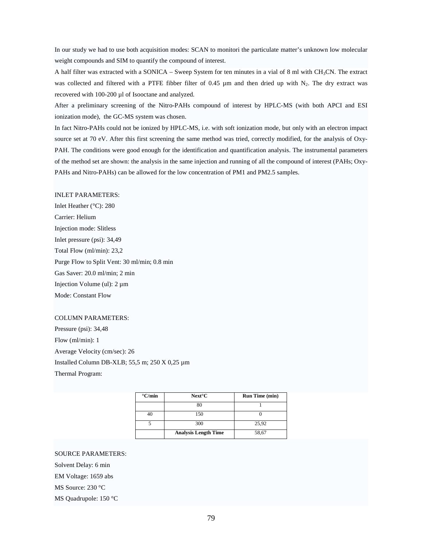In our study we had to use both acquisition modes: SCAN to monitori the particulate matter's unknown low molecular weight compounds and SIM to quantify the compound of interest.

A half filter was extracted with a SONICA – Sweep System for ten minutes in a vial of 8 ml with CH3CN. The extract was collected and filtered with a PTFE fibber filter of 0.45 µm and then dried up with N<sub>2</sub>. The dry extract was recovered with 100-200 µl of Isooctane and analyzed.

After a preliminary screening of the Nitro-PAHs compound of interest by HPLC-MS (with both APCI and ESI ionization mode), the GC-MS system was chosen.

In fact Nitro-PAHs could not be ionized by HPLC-MS, i.e. with soft ionization mode, but only with an electron impact source set at 70 eV. After this first screening the same method was tried, correctly modified, for the analysis of Oxy-PAH. The conditions were good enough for the identification and quantification analysis. The instrumental parameters of the method set are shown: the analysis in the same injection and running of all the compound of interest (PAHs; Oxy-PAHs and Nitro-PAHs) can be allowed for the low concentration of PM1 and PM2.5 samples.

# INLET PARAMETERS:

Inlet Heather (°C): 280 Carrier: Helium Injection mode: Slitless Inlet pressure (psi): 34,49 Total Flow (ml/min): 23,2 Purge Flow to Split Vent: 30 ml/min; 0.8 min Gas Saver: 20.0 ml/min; 2 min Injection Volume (ul): 2 µm Mode: Constant Flow

### COLUMN PARAMETERS:

Pressure (psi): 34,48 Flow (ml/min): 1 Average Velocity (cm/sec): 26 Installed Column DB-XLB; 55,5 m; 250 X 0,25 µm Thermal Program:

| $\mathrm{C/min}$ | $Next^{\circ}C$             | <b>Run Time (min)</b> |
|------------------|-----------------------------|-----------------------|
|                  |                             |                       |
| 40               | 150                         |                       |
|                  | 300                         | 25,92                 |
|                  | <b>Analysis Length Time</b> | 58,67                 |

### SOURCE PARAMETERS:

Solvent Delay: 6 min

EM Voltage: 1659 abs

MS Source: 230 °C

MS Quadrupole: 150 °C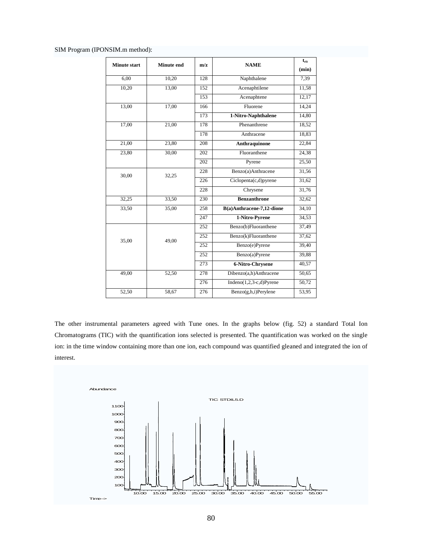SIM Program (IPONSIM.m method):

| <b>Minute start</b> | <b>Minute end</b> | m/z | <b>NAME</b>                 | $t_{\rm{rit}}$ |
|---------------------|-------------------|-----|-----------------------------|----------------|
|                     |                   |     |                             | (min)          |
| 6,00                | 10,20             | 128 | Naphthalene                 | 7,39           |
| 10,20               | 13,00             | 152 | Acenaphtilene               | 11.58          |
|                     |                   | 153 | Acenaphtene                 | 12,17          |
| 13,00               | 17,00             | 166 | Fluorene                    | 14,24          |
|                     |                   | 173 | 1-Nitro-Naphthalene         | 14,80          |
| 17,00               | 21,00             | 178 | Phenanthrene                | 18,52          |
|                     |                   | 178 | Anthracene                  | 18,83          |
| 21,00               | 23,80             | 208 | <b>Anthraquinone</b>        | 22,84          |
| 23,80               | 30,00             | 202 | Fluoranthene                | 24,38          |
|                     |                   | 202 | Pyrene                      | 25,50          |
| 30,00               | 32,25             | 228 | Benzo(a)Anthracene          | 31,56          |
|                     |                   | 226 | Ciclopenta(c,d)pyrene       | 31,62          |
|                     |                   | 228 | Chrysene                    | 31,76          |
| 32,25               | 33,50             | 230 | <b>Benzanthrone</b>         | 32,62          |
| 33,50               | 35,00             | 258 | B(a)Anthracene-7,12-dione   | 34,10          |
|                     |                   | 247 | 1-Nitro-Pyrene              | 34,53          |
|                     |                   | 252 | Benzo(b)Fluoranthene        | 37,49          |
| 35,00               | 49,00             | 252 | Benzo(k)Fluoranthene        | 37,62          |
|                     |                   | 252 | Benzo(e)Pyrene              | 39,40          |
|                     |                   | 252 | Benzo(a)Pyrene              | 39,88          |
|                     |                   | 273 | 6-Nitro-Chrysene            | 40,57          |
| 49,00               | 52,50             | 278 | Dibenzo(a,h)Anthracene      | 50,65          |
|                     |                   | 276 | Indeno $(1,2,3-c,d)$ Pyrene | 50,72          |
| 52,50               | 58,67             | 276 | $Benzo(g,h,i)$ Perylene     | 53,95          |

The other instrumental parameters agreed with Tune ones. In the graphs below (fig. 52) a standard Total Ion Chromatograms (TIC) with the quantification ions selected is presented. The quantification was worked on the single ion: in the time window containing more than one ion, each compound was quantified gleaned and integrated the ion of interest.

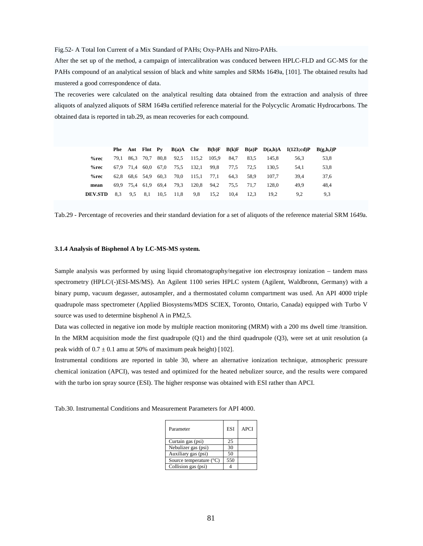Fig.52- A Total Ion Current of a Mix Standard of PAHs; Oxy-PAHs and Nitro-PAHs.

After the set up of the method, a campaign of intercalibration was conduced between HPLC-FLD and GC-MS for the PAHs compound of an analytical session of black and white samples and SRMs 1649a, [101]. The obtained results had mustered a good correspondence of data.

The recoveries were calculated on the analytical resulting data obtained from the extraction and analysis of three aliquots of analyzed aliquots of SRM 1649a certified reference material for the Polycyclic Aromatic Hydrocarbons. The obtained data is reported in tab.29, as mean recoveries for each compound.

|                |      |           | Phe Ant Flnt Py |      |      |             |      |      |      |       | $B(a)A$ Chr $B(b)F$ $B(k)F$ $B(a)P$ $D(a,h)A$ $I(123;cd)P$ | B(g,h,i)P |
|----------------|------|-----------|-----------------|------|------|-------------|------|------|------|-------|------------------------------------------------------------|-----------|
| %rec           | 79.1 |           | 86.3 70.7       | 80,8 | 92.5 | 115,2 105,9 |      | 84.7 | 83.5 | 145.8 | 56.3                                                       | 53,8      |
| %rec           |      | 67.9 71.4 | 60.0            | 67,0 | 75,5 | 132,1       | 99.8 | 77.5 | 72.5 | 130.5 | 54.1                                                       | 53,8      |
| %rec           | 62.8 |           | 68.6 54.9       | 60.3 | 70.0 | 115.1       | 77.1 | 64.3 | 58.9 | 107.7 | 39.4                                                       | 37.6      |
| mean           |      |           | 69.9 75.4 61.9  | 69.4 | 79.3 | 120.8       | 94.2 | 75.5 | 71.7 | 128.0 | 49.9                                                       | 48.4      |
| <b>DEV.STD</b> | 8.3  | 9.5       | 8,1             | 10,5 | 11,8 | 9.8         | 15,2 | 10.4 | 12.3 | 19.2  | 9.2                                                        | 9.3       |

Tab.29 - Percentage of recoveries and their standard deviation for a set of aliquots of the reference material SRM 1649a.

#### **3.1.4 Analysis of Bisphenol A by LC-MS-MS system.**

Sample analysis was performed by using liquid chromatography/negative ion electrospray ionization – tandem mass spectrometry (HPLC/(-)ESI-MS/MS). An Agilent 1100 series HPLC system (Agilent, Waldbronn, Germany) with a binary pump, vacuum degasser, autosampler, and a thermostated column compartment was used. An API 4000 triple quadrupole mass spectrometer (Applied Biosystems/MDS SCIEX, Toronto, Ontario, Canada) equipped with Turbo V source was used to determine bisphenol A in PM2,5.

Data was collected in negative ion mode by multiple reaction monitoring (MRM) with a 200 ms dwell time /transition. In the MRM acquisition mode the first quadrupole (Q1) and the third quadrupole (Q3), were set at unit resolution (a peak width of  $0.7 \pm 0.1$  amu at 50% of maximum peak height) [102].

Instrumental conditions are reported in table 30, where an alternative ionization technique, atmospheric pressure chemical ionization (APCI), was tested and optimized for the heated nebulizer source, and the results were compared with the turbo ion spray source (ESI). The higher response was obtained with ESI rather than APCI.

Tab.30. Instrumental Conditions and Measurement Parameters for API 4000.

| Parameter               | <b>ESI</b> | <b>APCI</b> |
|-------------------------|------------|-------------|
| Curtain gas (psi)       | 25         |             |
| Nebulizer gas (psi)     | 30         |             |
| Auxiliary gas (psi)     | 50         |             |
| Source temperature (°C) | 550        |             |
| Collision gas (psi)     |            |             |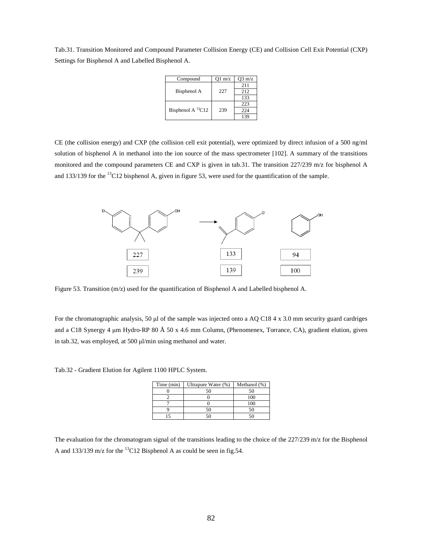Tab.31. Transition Monitored and Compound Parameter Collision Energy (CE) and Collision Cell Exit Potential (CXP) Settings for Bisphenol A and Labelled Bisphenol A.

| Compound                  | $Q1 \text{ m/z}$ | $O3 \text{ m/z}$ |
|---------------------------|------------------|------------------|
|                           |                  | 2.11             |
| Bisphenol A               | 227              | 2.12             |
|                           |                  | 133              |
|                           |                  | 223              |
| Bisphenol A ${}^{13}$ C12 | 239              | 224              |
|                           |                  | 139              |

CE (the collision energy) and CXP (the collision cell exit potential), were optimized by direct infusion of a 500 ng/ml solution of bisphenol A in methanol into the ion source of the mass spectrometer [102]. A summary of the transitions monitored and the compound parameters CE and CXP is given in tab.31. The transition 227/239 m/z for bisphenol A and 133/139 for the <sup>13</sup>C12 bisphenol A, given in figure 53, were used for the quantification of the sample.



Figure 53. Transition (m/z) used for the quantification of Bisphenol A and Labelled bisphenol A.

For the chromatographic analysis, 50  $\mu$ l of the sample was injected onto a AQ C18 4 x 3.0 mm security guard cardriges and a C18 Synergy 4 µm Hydro-RP 80 Å 50 x 4.6 mm Column, (Phenomenex, Torrance, CA), gradient elution, given in tab.32, was employed, at 500 µl/min using methanol and water.

| Time (min) | Ultrapure Water (%) | Methanol (%) |
|------------|---------------------|--------------|
|            | 50                  |              |
|            |                     |              |
|            |                     |              |
|            | 50                  |              |
|            | ۲0                  |              |

Tab.32 - Gradient Elution for Agilent 1100 HPLC System.

The evaluation for the chromatogram signal of the transitions leading to the choice of the 227/239 m/z for the Bisphenol A and 133/139 m/z for the <sup>13</sup>C12 Bisphenol A as could be seen in fig.54.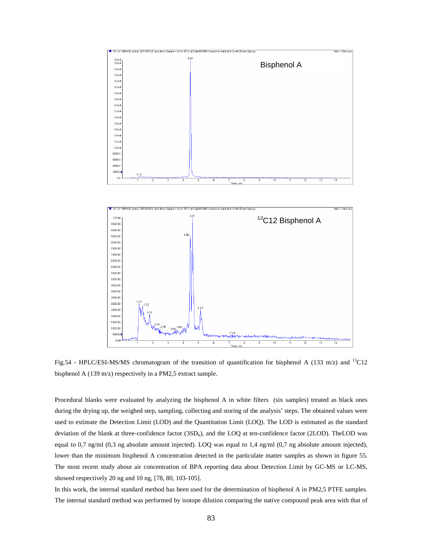

Fig.54 - HPLC/ESI-MS/MS chromatogram of the transition of quantification for bisphenol A (133 m/z) and <sup>13</sup>C12 bisphenol A (139 m/z) respectively in a PM2,5 extract sample.

Procedural blanks were evaluated by analyzing the bisphenol A in white filters (six samples) treated as black ones during the drying up, the weighed step, sampling, collecting and storing of the analysis' steps. The obtained values were used to estimate the Detection Limit (LOD) and the Quantitation Limit (LOQ). The LOD is estimated as the standard deviation of the blank at three-confidence factor  $(3SD<sub>b</sub>)$ , and the LOQ at ten-confidence factor (2LOD). The LOD was equal to 0,7 ng/ml (0,3 ng absolute amount injected). LOQ was equal to 1,4 ng/ml (0,7 ng absolute amount injected), lower than the minimum bisphenol A concentration detected in the particulate matter samples as shown in figure 55. The most recent study about air concentration of BPA reporting data about Detection Limit by GC-MS or LC-MS, showed respectively 20 ng and 10 ng, [78, 80, 103-105].

In this work, the internal standard method has been used for the determination of bisphenol A in PM2,5 PTFE samples. The internal standard method was performed by isotope dilution comparing the native compound peak area with that of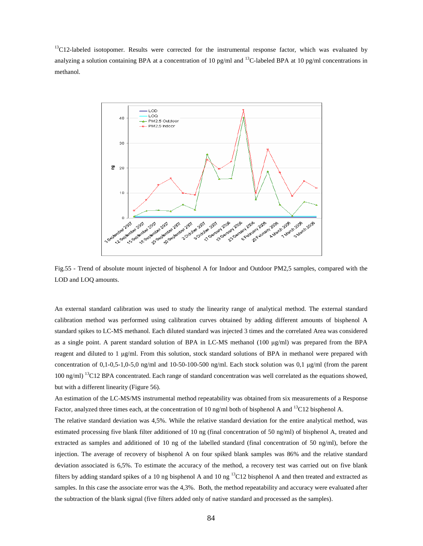<sup>13</sup>C12-labeled isotopomer. Results were corrected for the instrumental response factor, which was evaluated by analyzing a solution containing BPA at a concentration of 10 pg/ml and <sup>13</sup>C-labeled BPA at 10 pg/ml concentrations in methanol.



Fig.55 - Trend of absolute mount injected of bisphenol A for Indoor and Outdoor PM2,5 samples, compared with the LOD and LOQ amounts.

An external standard calibration was used to study the linearity range of analytical method. The external standard calibration method was performed using calibration curves obtained by adding different amounts of bisphenol A standard spikes to LC-MS methanol. Each diluted standard was injected 3 times and the correlated Area was considered as a single point. A parent standard solution of BPA in LC-MS methanol (100 µg/ml) was prepared from the BPA reagent and diluted to 1 µg/ml. From this solution, stock standard solutions of BPA in methanol were prepared with concentration of 0,1-0,5-1,0-5,0 ng/ml and 10-50-100-500 ng/ml. Each stock solution was 0,1 µg/ml (from the parent 100 ng/ml) <sup>13</sup>C12 BPA concentrated. Each range of standard concentration was well correlated as the equations showed, but with a different linearity (Figure 56).

An estimation of the LC-MS/MS instrumental method repeatability was obtained from six measurements of a Response Factor, analyzed three times each, at the concentration of 10 ng/ml both of bisphenol A and <sup>13</sup>C12 bisphenol A.

The relative standard deviation was 4,5%. While the relative standard deviation for the entire analytical method, was estimated processing five blank filter additioned of 10 ng (final concentration of 50 ng/ml) of bisphenol A, treated and extracted as samples and additioned of 10 ng of the labelled standard (final concentration of 50 ng/ml), before the injection. The average of recovery of bisphenol A on four spiked blank samples was 86% and the relative standard deviation associated is 6,5%. To estimate the accuracy of the method, a recovery test was carried out on five blank filters by adding standard spikes of a 10 ng bisphenol A and 10 ng  $^{13}$ C12 bisphenol A and then treated and extracted as samples. In this case the associate error was the 4,3%. Both, the method repeatability and accuracy were evaluated after the subtraction of the blank signal (five filters added only of native standard and processed as the samples).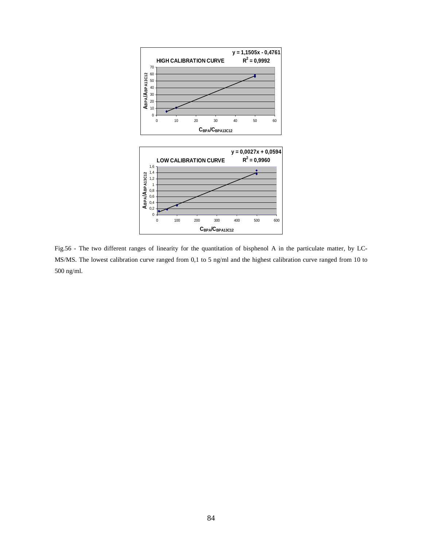

Fig.56 - The two different ranges of linearity for the quantitation of bisphenol A in the particulate matter, by LC-MS/MS. The lowest calibration curve ranged from 0,1 to 5 ng/ml and the highest calibration curve ranged from 10 to 500 ng/ml.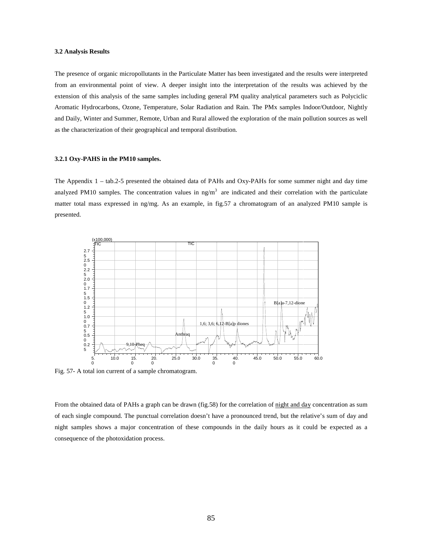### **3.2 Analysis Results**

The presence of organic micropollutants in the Particulate Matter has been investigated and the results were interpreted from an environmental point of view. A deeper insight into the interpretation of the results was achieved by the extension of this analysis of the same samples including general PM quality analytical parameters such as Polyciclic Aromatic Hydrocarbons, Ozone, Temperature, Solar Radiation and Rain. The PMx samples Indoor/Outdoor, Nightly and Daily, Winter and Summer, Remote, Urban and Rural allowed the exploration of the main pollution sources as well as the characterization of their geographical and temporal distribution.

# **3.2.1 Oxy-PAHS in the PM10 samples.**

The Appendix 1 – tab.2-5 presented the obtained data of PAHs and Oxy-PAHs for some summer night and day time analyzed PM10 samples. The concentration values in  $\text{ng/m}^3$  are indicated and their correlation with the particulate matter total mass expressed in ng/mg. As an example, in fig.57 a chromatogram of an analyzed PM10 sample is presented.



Fig. 57- A total ion current of a sample chromatogram.

From the obtained data of PAHs a graph can be drawn (fig.58) for the correlation of night and day concentration as sum of each single compound. The punctual correlation doesn't have a pronounced trend, but the relative's sum of day and night samples shows a major concentration of these compounds in the daily hours as it could be expected as a consequence of the photoxidation process.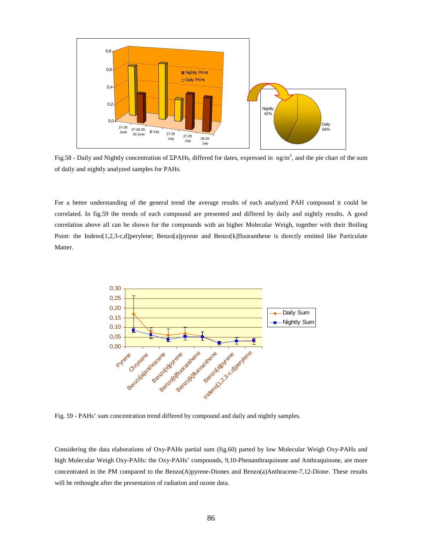

Fig.58 - Daily and Nightly concentration of ΣΡΑΗs, differed for dates, expressed in ng/m<sup>3</sup>, and the pie chart of the sum of daily and nightly analyzed samples for PAHs.

For a better understanding of the general trend the average results of each analyzed PAH compound it could be correlated. In fig.59 the trends of each compound are presented and differed by daily and nightly results. A good correlation above all can be shown for the compounds with an higher Molecular Weigh, together with their Boiling Point: the Indeno[1,2,3-c,d]perylene; Benzo[a]pyrene and Benzo[k]fluoranthene is directly emitted like Particulate Matter.



Fig. 59 - PAHs' sum concentration trend differed by compound and daily and nightly samples.

Considering the data elaborations of Oxy-PAHs partial sum (fig.60) parted by low Molecular Weigh Oxy-PAHs and high Molecular Weigh Oxy-PAHs: the Oxy-PAHs' compounds, 9,10-Phenanthraquinone and Anthraquinone, are more concentrated in the PM compared to the Benzo(A)pyrene-Diones and Benzo(a)Anthracene-7,12-Dione. These results will be rethought after the presentation of radiation and ozone data.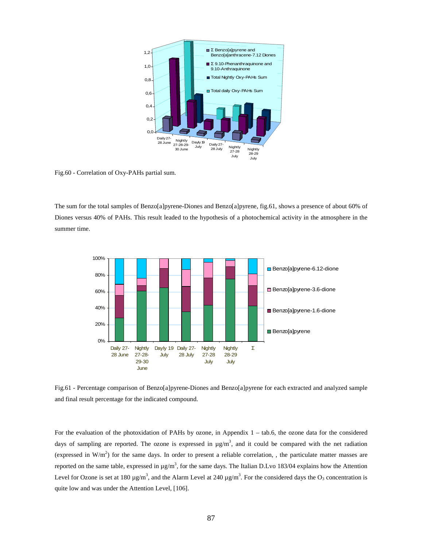

Fig.60 - Correlation of Oxy-PAHs partial sum.

The sum for the total samples of Benzo[a]pyrene-Diones and Benzo[a]pyrene, fig.61, shows a presence of about 60% of Diones versus 40% of PAHs. This result leaded to the hypothesis of a photochemical activity in the atmosphere in the summer time.



Fig.61 - Percentage comparison of Benzo[a]pyrene-Diones and Benzo[a]pyrene for each extracted and analyzed sample and final result percentage for the indicated compound.

For the evaluation of the photoxidation of PAHs by ozone, in Appendix 1 – tab.6, the ozone data for the considered days of sampling are reported. The ozone is expressed in  $\mu$ g/m<sup>3</sup>, and it could be compared with the net radiation (expressed in  $W/m<sup>2</sup>$ ) for the same days. In order to present a reliable correlation, , the particulate matter masses are reported on the same table, expressed in  $\mu$ g/m<sup>3</sup>, for the same days. The Italian D.Lvo 183/04 explains how the Attention Level for Ozone is set at 180  $\mu$ g/m<sup>3</sup>, and the Alarm Level at 240  $\mu$ g/m<sup>3</sup>. For the considered days the O<sub>3</sub> concentration is quite low and was under the Attention Level, [106].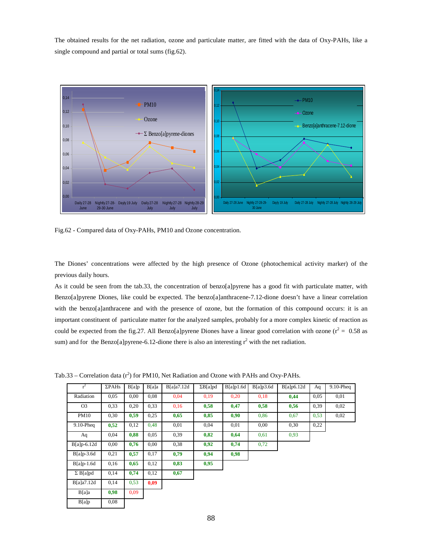The obtained results for the net radiation, ozone and particulate matter, are fitted with the data of Oxy-PAHs, like a single compound and partial or total sums (fig.62).



Fig.62 - Compared data of Oxy-PAHs, PM10 and Ozone concentration.

The Diones' concentrations were affected by the high presence of Ozone (photochemical activity marker) of the previous daily hours.

As it could be seen from the tab.33, the concentration of benzo[a]pyrene has a good fit with particulate matter, with Benzo[a]pyrene Diones, like could be expected. The benzo[a]anthracene-7.12-dione doesn't have a linear correlation with the benzo[a]anthracene and with the presence of ozone, but the formation of this compound occurs: it is an important constituent of particulate matter for the analyzed samples, probably for a more complex kinetic of reaction as could be expected from the fig.27. All Benzo[a]pyrene Diones have a linear good correlation with ozone ( $r^2 = 0.58$  as sum) and for the Benzo[a]pyrene-6.12-dione there is also an interesting  $r^2$  with the net radiation.

Tab.33 – Correlation data  $(r^2)$  for PM10, Net Radiation and Ozone with PAHs and Oxy-PAHs.

| $r^2$           | $\Sigma$ PAHs | B[a]p | B[a]a | B[a]a7.12d | $\Sigma B[a]$ pd | B[a]p1.6d | B[a]p3.6d | B[a]p6.12d | Aq   | $9.10$ -Pheq |
|-----------------|---------------|-------|-------|------------|------------------|-----------|-----------|------------|------|--------------|
| Radiation       | 0,05          | 0,00  | 0.08  | 0.04       | 0,19             | 0,20      | 0,18      | 0,44       | 0.05 | 0.01         |
| O <sub>3</sub>  | 0.33          | 0,20  | 0.33  | 0.16       | 0,58             | 0,47      | 0,58      | 0,56       | 0.39 | 0,02         |
| <b>PM10</b>     | 0,30          | 0,59  | 0.25  | 0,65       | 0,85             | 0,90      | 0.86      | 0,67       | 0.53 | 0,02         |
| $9.10$ -Pheq    | 0,52          | 0,12  | 0,48  | 0.01       | 0,04             | 0.01      | 0,00      | 0,30       | 0,22 |              |
| Aq              | 0,04          | 0,88  | 0.05  | 0.39       | 0,82             | 0,64      | 0.61      | 0,93       |      |              |
| $B[a]p-6.12d$   | 0.00          | 0,76  | 0,00  | 0,38       | 0,92             | 0,74      | 0,72      |            |      |              |
| $B[a]p-3.6d$    | 0,21          | 0,57  | 0,17  | 0,79       | 0,94             | 0,98      |           |            |      |              |
| $B[a]p-1.6d$    | 0,16          | 0,65  | 0,12  | 0,83       | 0,95             |           |           |            |      |              |
| $\Sigma$ B[a]pd | 0,14          | 0,74  | 0,12  | 0,67       |                  |           |           |            |      |              |
| B[a]a7.12d      | 0,14          | 0,53  | 0,09  |            |                  |           |           |            |      |              |
| B[a]a           | 0,98          | 0,09  |       |            |                  |           |           |            |      |              |
| B[a]p           | 0.08          |       |       |            |                  |           |           |            |      |              |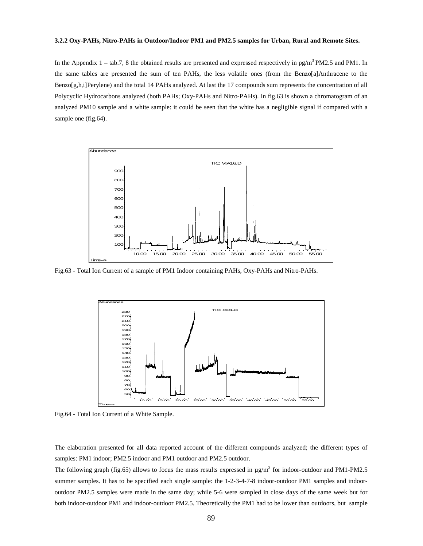### **3.2.2 Oxy-PAHs, Nitro-PAHs in Outdoor/Indoor PM1 and PM2.5 samples for Urban, Rural and Remote Sites.**

In the Appendix  $1 - \text{tab.7}$ , 8 the obtained results are presented and expressed respectively in pg/m<sup>3</sup>PM2.5 and PM1. In the same tables are presented the sum of ten PAHs, the less volatile ones (from the Benzo[a]Anthracene to the Benzo[g,h,i]Perylene) and the total 14 PAHs analyzed. At last the 17 compounds sum represents the concentration of all Polycyclic Hydrocarbons analyzed (both PAHs; Oxy-PAHs and Nitro-PAHs). In fig.63 is shown a chromatogram of an analyzed PM10 sample and a white sample: it could be seen that the white has a negligible signal if compared with a sample one (fig.64).



Fig.63 - Total Ion Current of a sample of PM1 Indoor containing PAHs, Oxy-PAHs and Nitro-PAHs.



Fig.64 - Total Ion Current of a White Sample.

The elaboration presented for all data reported account of the different compounds analyzed; the different types of samples: PM1 indoor; PM2.5 indoor and PM1 outdoor and PM2.5 outdoor.

The following graph (fig.65) allows to focus the mass results expressed in  $\mu$ g/m<sup>3</sup> for indoor-outdoor and PM1-PM2.5 summer samples. It has to be specified each single sample: the 1-2-3-4-7-8 indoor-outdoor PM1 samples and indooroutdoor PM2.5 samples were made in the same day; while 5-6 were sampled in close days of the same week but for both indoor-outdoor PM1 and indoor-outdoor PM2.5. Theoretically the PM1 had to be lower than outdoors, but sample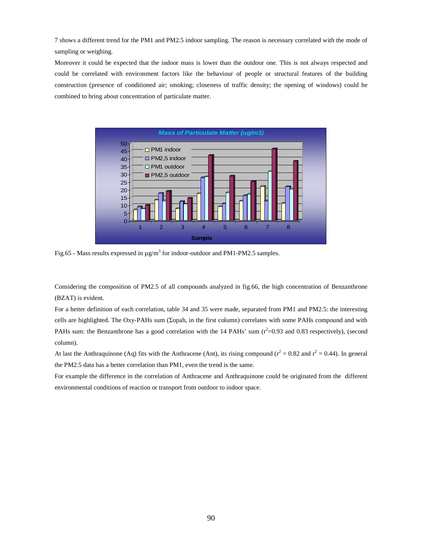7 shows a different trend for the PM1 and PM2.5 indoor sampling. The reason is necessary correlated with the mode of sampling or weighing.

Moreover it could be expected that the indoor mass is lower than the outdoor one. This is not always respected and could be correlated with environment factors like the behaviour of people or structural features of the building construction (presence of conditioned air; smoking; closeness of traffic density; the opening of windows) could be combined to bring about concentration of particulate matter.



Fig.65 - Mass results expressed in  $\mu$ g/m<sup>3</sup> for indoor-outdoor and PM1-PM2.5 samples.

Considering the composition of PM2.5 of all compounds analyzed in fig.66, the high concentration of Benzanthrone (BZAT) is evident.

For a better definition of each correlation, table 34 and 35 were made, separated from PM1 and PM2.5: the interesting cells are highlighted. The Oxy-PAHs sum (Σopah, in the first column) correlates with some PAHs compound and with PAHs sum: the Benzanthrone has a good correlation with the 14 PAHs' sum  $(r^2=0.93$  and 0.83 respectively), (second column).

At last the Anthraquinone (Aq) fits with the Anthracene (Ant), its rising compound ( $r^2 = 0.82$  and  $r^2 = 0.44$ ). In general the PM2.5 data has a better correlation than PM1, even the trend is the same.

For example the difference in the correlation of Anthracene and Anthraquinone could be originated from the different environmental conditions of reaction or transport from outdoor to indoor space.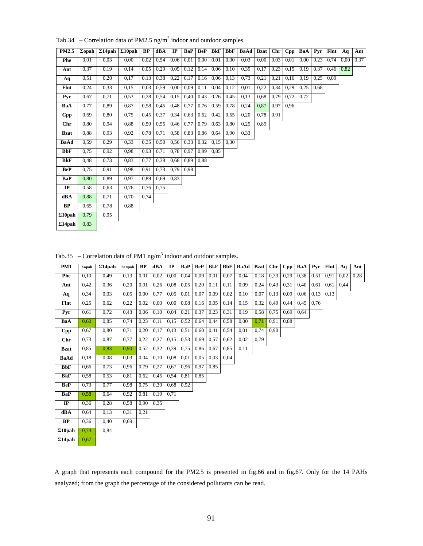Tab.34 – Correlation data of PM2.5  $\text{ng/m}^3$  indoor and outdoor samples.

| PM2.5          | $\Sigma$ opah | $\Sigma14$ pah | $\Sigma10$ pah | <b>BP</b> | dBA  | IP   | BaP  | <b>BeP</b> | <b>BkF</b> | <b>BbF</b> | <b>BaAd</b> | <b>Bzat</b> | Chr  | Cpp  | BaA  | Pyr  | Flnt | Aq   | Ant  |
|----------------|---------------|----------------|----------------|-----------|------|------|------|------------|------------|------------|-------------|-------------|------|------|------|------|------|------|------|
| Phe            | 0,01          | 0.03           | 0,00           | 0.02      | 0,54 | 0,06 | 0,01 | 0.00       | 0,01       | 0,00       | 0.03        | 0,00        | 0,03 | 0,01 | 0.00 | 0.23 | 0,74 | 0.00 | 0,37 |
| Ant            | 0.37          | 0.19           | 0.14           | 0.05      | 0,29 | 0.09 | 0,12 | 0.14       | 0.06       | 0,10       | 0.39        | 0.17        | 0,23 | 0,15 | 0,19 | 0.37 | 0,46 | 0.82 |      |
| Aq             | 0,51          | 0,20           | 0,17           | 0,13      | 0,38 | 0,22 | 0,17 | 0.16       | 0,06       | 0,13       | 0.73        | 0,21        | 0,21 | 0.16 | 0,19 | 0,25 | 0.09 |      |      |
| Flnt           | 0,24          | 0,33           | 0,15           | 0,03      | 0,59 | 0,00 | 0,09 | 0,11       | 0,04       | 0,12       | 0,01        | 0,22        | 0,34 | 0,29 | 0,25 | 0.68 |      |      |      |
| Pyr            | 0.67          | 0.71           | 0.53           | 0.28      | 0,54 | 0,15 | 0,40 | 0.43       | 0,26       | 0,45       | 0.13        | 0.68        | 0,79 | 0,72 | 0.72 |      |      |      |      |
| BaA            | 0.77          | 0.89           | 0.87           | 0.58      | 0,45 | 0,48 | 0,77 | 0,76       | 0.59       | 0,78       | 0,24        | 0.87        | 0.97 | 0.96 |      |      |      |      |      |
| Cpp            | 0.69          | 0,80           | 0.75           | 0,45      | 0,37 | 0,34 | 0,63 | 0,62       | 0,42       | 0,65       | 0,20        | 0,78        | 0,91 |      |      |      |      |      |      |
| <b>Chr</b>     | 0.80          | 0.94           | 0.88           | 0,59      | 0,55 | 0,46 | 0,77 | 0,79       | 0,63       | 0,80       | 0,25        | 0.89        |      |      |      |      |      |      |      |
| <b>Bzat</b>    | 0.88          | 0.93           | 0.92           | 0,78      | 0,71 | 0,58 | 0,83 | 0,86       | 0,64       | 0.90       | 0.33        |             |      |      |      |      |      |      |      |
| BaAd           | 0.59          | 0,29           | 0.33           | 0.35      | 0,50 | 0,56 | 0.33 | 0.32       | 0.15       | 0.30       |             |             |      |      |      |      |      |      |      |
| <b>BbF</b>     | 0,75          | 0.92           | 0.98           | 0,93      | 0,71 | 0,78 | 0,97 | 0.99       | 0,85       |            |             |             |      |      |      |      |      |      |      |
| BkF            | 0.48          | 0,73           | 0.83           | 0,77      | 0,38 | 0,68 | 0,89 | 0,88       |            |            |             |             |      |      |      |      |      |      |      |
| <b>BeP</b>     | 0.75          | 0.91           | 0.98           | 0,91      | 0,73 | 0,79 | 0.98 |            |            |            |             |             |      |      |      |      |      |      |      |
| <b>BaP</b>     | 0.80          | 0.89           | 0.97           | 0.89      | 0.69 | 0.83 |      |            |            |            |             |             |      |      |      |      |      |      |      |
| IP             | 0,58          | 0.63           | 0.76           | 0,76      | 0,75 |      |      |            |            |            |             |             |      |      |      |      |      |      |      |
| dBA            | 0.88          | 0.71           | 0.70           | 0.74      |      |      |      |            |            |            |             |             |      |      |      |      |      |      |      |
| BP             | 0.65          | 0.78           | 0.88           |           |      |      |      |            |            |            |             |             |      |      |      |      |      |      |      |
| $\Sigma10$ pah | 0.79          | 0.95           |                |           |      |      |      |            |            |            |             |             |      |      |      |      |      |      |      |
| $\Sigma$ 14pah | 0.83          |                |                |           |      |      |      |            |            |            |             |             |      |      |      |      |      |      |      |

Tab.35 – Correlation data of PM1 ng/m<sup>3</sup> indoor and outdoor samples.

| <b>PM1</b>     | $\Sigma$ opah | $\Sigma$ 14pah | $\Sigma10$ pah | <b>BP</b> | dBA  | $_{\rm IP}$ | BaP  | <b>BeP</b> | BkF  | <b>BbF</b> | BaAd | Bzat | Chr  | Cpp  | BaA  | Pvr  | Flnt | Aq   | Ant  |
|----------------|---------------|----------------|----------------|-----------|------|-------------|------|------------|------|------------|------|------|------|------|------|------|------|------|------|
| Phe            | 0.10          | 0.49           | 0,13           | 0,01      | 0.02 | 0,00        | 0,04 | 0,09       | 0,01 | 0.07       | 0,04 | 0.18 | 0,33 | 0,29 | 0,38 | 0.51 | 0.91 | 0.02 | 0,28 |
| Ant            | 0,42          | 0,36           | 0,20           | 0.01      | 0,26 | 0,08        | 0,05 | 0,20       | 0,11 | 0,11       | 0,09 | 0,24 | 0,43 | 0,31 | 0.40 | 0,61 | 0.61 | 0.44 |      |
| Aq             | 0.34          | 0.03           | 0,05           | 0,00      | 0,77 | 0,05        | 0,01 | 0,07       | 0,09 | 0,02       | 0,10 | 0,07 | 0,13 | 0,09 | 0,06 | 0,13 | 0.13 |      |      |
| Flnt           | 0,25          | 0.62           | 0,22           | 0.02      | 0.00 | 0,00        | 0.08 | 0,16       | 0.05 | 0,14       | 0,15 | 0,32 | 0,49 | 0,44 | 0,45 | 0.76 |      |      |      |
| Pyr            | 0.61          | 0.72           | 0,43           | 0.06      | 0,10 | 0,04        | 0,21 | 0,37       | 0,23 | 0,31       | 0.19 | 0,58 | 0,75 | 0.69 | 0.64 |      |      |      |      |
| BaA            | 0.60          | 0.85           | 0,74           | 0,23      | 0,11 | 0,15        | 0,52 | 0,64       | 0,44 | 0,58       | 0,00 | 0,71 | 0,91 | 0,88 |      |      |      |      |      |
| $\mathbf{Cpp}$ | 0,67          | 0.80           | 0,71           | 0,20      | 0,17 | 0,13        | 0,51 | 0,60       | 0,41 | 0,54       | 0.01 | 0,74 | 0,90 |      |      |      |      |      |      |
| Chr            | 0.73          | 0,87           | 0,77           | 0,22      | 0,27 | 0,15        | 0,53 | 0,69       | 0,57 | 0,62       | 0,02 | 0.79 |      |      |      |      |      |      |      |
| <b>Bzat</b>    | 0.85          | 0.83           | 0.90           | 0,52      | 0,32 | 0.39        | 0,75 | 0,86       | 0.67 | 0.85       | 0.11 |      |      |      |      |      |      |      |      |
| BaAd           | 0.18          | 0.08           | 0,03           | 0.04      | 0.10 | 0,08        | 0,01 | 0.05       | 0,03 | 0.04       |      |      |      |      |      |      |      |      |      |
| <b>BbF</b>     | 0.66          | 0,73           | 0,96           | 0.79      | 0,27 | 0,67        | 0,96 | 0,97       | 0,85 |            |      |      |      |      |      |      |      |      |      |
| <b>BkF</b>     | 0.58          | 0,53           | 0.81           | 0,62      | 0,45 | 0,54        | 0.81 | 0,85       |      |            |      |      |      |      |      |      |      |      |      |
| <b>BeP</b>     | 0.73          | 0.77           | 0.98           | 0.75      | 0,39 | 0.68        | 0,92 |            |      |            |      |      |      |      |      |      |      |      |      |
| BaP            | 0.58          | 0.64           | 0.92           | 0.81      | 0,19 | 0,71        |      |            |      |            |      |      |      |      |      |      |      |      |      |
| $_{\rm IP}$    | 0.36          | 0,28           | 0,58           | 0,90      | 0.35 |             |      |            |      |            |      |      |      |      |      |      |      |      |      |
| dBA            | 0.64          | 0.13           | 0.31           | 0.21      |      |             |      |            |      |            |      |      |      |      |      |      |      |      |      |
| BP             | 0.36          | 0.40           | 0.69           |           |      |             |      |            |      |            |      |      |      |      |      |      |      |      |      |
| $\Sigma10$ pah | 0.74          | 0.84           |                |           |      |             |      |            |      |            |      |      |      |      |      |      |      |      |      |
| $\Sigma$ 14pah | 0.67          |                |                |           |      |             |      |            |      |            |      |      |      |      |      |      |      |      |      |

A graph that represents each compound for the PM2.5 is presented in fig.66 and in fig.67. Only for the 14 PAHs analyzed; from the graph the percentage of the considered pollutants can be read.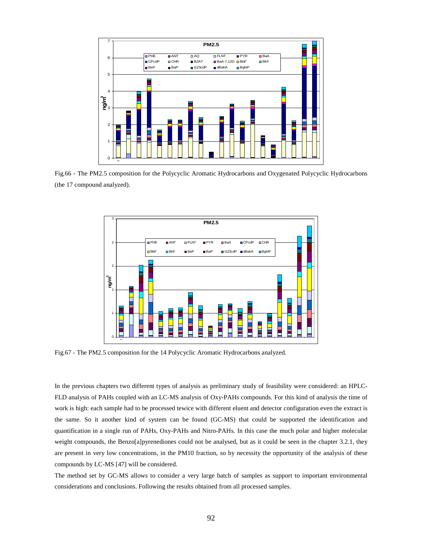

Fig.66 - The PM2.5 composition for the Polycyclic Aromatic Hydrocarbons and Oxygenated Polycyclic Hydrocarbons (the 17 compound analyzed).



Fig.67 - The PM2.5 composition for the 14 Polycyclic Aromatic Hydrocarbons analyzed.

In the previous chapters two different types of analysis as preliminary study of feasibility were considered: an HPLC-FLD analysis of PAHs coupled with an LC-MS analysis of Oxy-PAHs compounds. For this kind of analysis the time of work is high: each sample had to be processed tewice with different eluent and detector configuration even the extract is the same. So it another kind of system can be found (GC-MS) that could be supported the identification and quantification in a single run of PAHs, Oxy-PAHs and Nitro-PAHs. In this case the much polar and higher molecular weight compounds, the Benzo[a]pyrenediones could not be analysed, but as it could be seen in the chapter 3.2.1, they are present in very low concentrations, in the PM10 fraction, so by necessity the opportunity of the analysis of these compounds by LC-MS [47] will be considered.

The method set by GC-MS allows to consider a very large batch of samples as support to important environmental considerations and conclusions. Following the results obtained from all processed samples.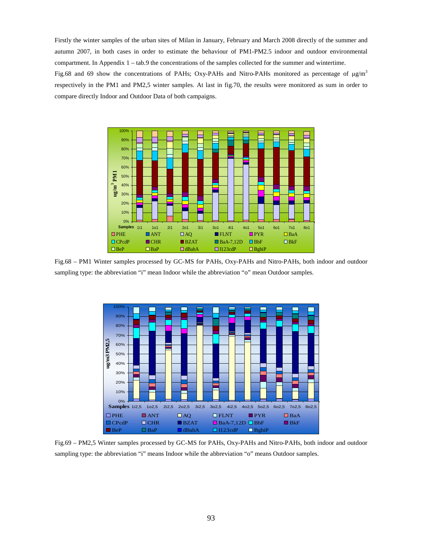Firstly the winter samples of the urban sites of Milan in January, February and March 2008 directly of the summer and autumn 2007, in both cases in order to estimate the behaviour of PM1-PM2.5 indoor and outdoor environmental compartment. In Appendix 1 – tab.9 the concentrations of the samples collected for the summer and wintertime.

Fig.68 and 69 show the concentrations of PAHs; Oxy-PAHs and Nitro-PAHs monitored as percentage of  $\mu$ g/m<sup>3</sup> respectively in the PM1 and PM2,5 winter samples. At last in fig.70, the results were monitored as sum in order to compare directly Indoor and Outdoor Data of both campaigns.



Fig.68 – PM1 Winter samples processed by GC-MS for PAHs, Oxy-PAHs and Nitro-PAHs, both indoor and outdoor sampling type: the abbreviation "i" mean Indoor while the abbreviation "o" mean Outdoor samples.



Fig.69 – PM2,5 Winter samples processed by GC-MS for PAHs, Oxy-PAHs and Nitro-PAHs, both indoor and outdoor sampling type: the abbreviation "i" means Indoor while the abbreviation "o" means Outdoor samples.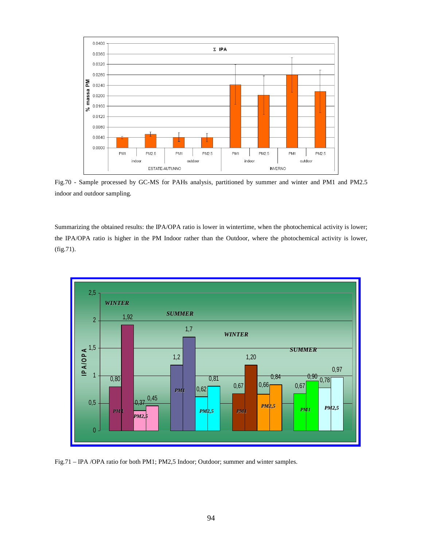

Fig.70 - Sample processed by GC-MS for PAHs analysis, partitioned by summer and winter and PM1 and PM2.5 indoor and outdoor sampling.

Summarizing the obtained results: the IPA/OPA ratio is lower in wintertime, when the photochemical activity is lower; the IPA/OPA ratio is higher in the PM Indoor rather than the Outdoor, where the photochemical activity is lower, (fig.71).



Fig.71 – IPA /OPA ratio for both PM1; PM2,5 Indoor; Outdoor; summer and winter samples.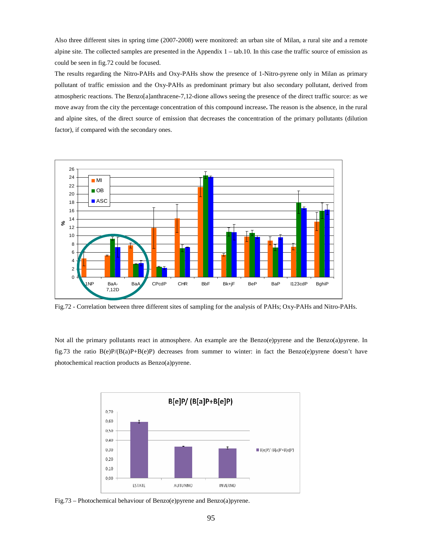Also three different sites in spring time (2007-2008) were monitored: an urban site of Milan, a rural site and a remote alpine site. The collected samples are presented in the Appendix 1 – tab.10. In this case the traffic source of emission as could be seen in fig.72 could be focused.

The results regarding the Nitro-PAHs and Oxy-PAHs show the presence of 1-Nitro-pyrene only in Milan as primary pollutant of traffic emission and the Oxy-PAHs as predominant primary but also secondary pollutant, derived from atmospheric reactions. The Benzo[a]anthracene-7,12-dione allows seeing the presence of the direct traffic source: as we move away from the city the percentage concentration of this compound increase**.** The reason is the absence, in the rural and alpine sites, of the direct source of emission that decreases the concentration of the primary pollutants (dilution factor), if compared with the secondary ones.



Fig.72 - Correlation between three different sites of sampling for the analysis of PAHs; Oxy-PAHs and Nitro-PAHs.

Not all the primary pollutants react in atmosphere. An example are the Benzo(e)pyrene and the Benzo(a)pyrene. In fig.73 the ratio B(e)P/(B(a)P+B(e)P) decreases from summer to winter: in fact the Benzo(e)pyrene doesn't have photochemical reaction products as Benzo(a)pyrene.



Fig.73 – Photochemical behaviour of Benzo(e)pyrene and Benzo(a)pyrene.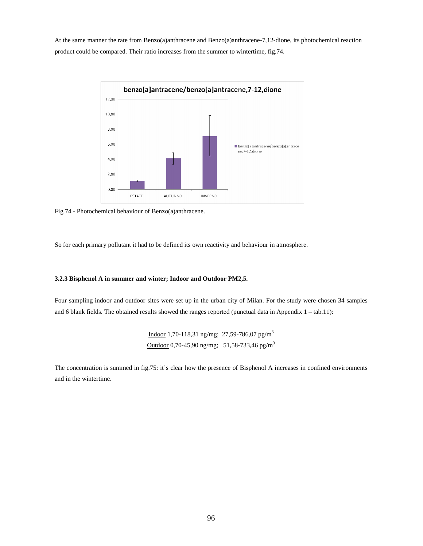At the same manner the rate from Benzo(a)anthracene and Benzo(a)anthracene-7,12-dione, its photochemical reaction product could be compared. Their ratio increases from the summer to wintertime, fig.74.



Fig.74 - Photochemical behaviour of Benzo(a)anthracene.

So for each primary pollutant it had to be defined its own reactivity and behaviour in atmosphere.

# **3.2.3 Bisphenol A in summer and winter; Indoor and Outdoor PM2,5.**

Four sampling indoor and outdoor sites were set up in the urban city of Milan. For the study were chosen 34 samples and 6 blank fields. The obtained results showed the ranges reported (punctual data in Appendix 1 – tab.11):

> Indoor 1,70-118,31 ng/mg; 27,59-786,07 pg/m<sup>3</sup> Outdoor 0,70-45,90 ng/mg; 51,58-733,46 pg/m<sup>3</sup>

The concentration is summed in fig.75: it's clear how the presence of Bisphenol A increases in confined environments and in the wintertime.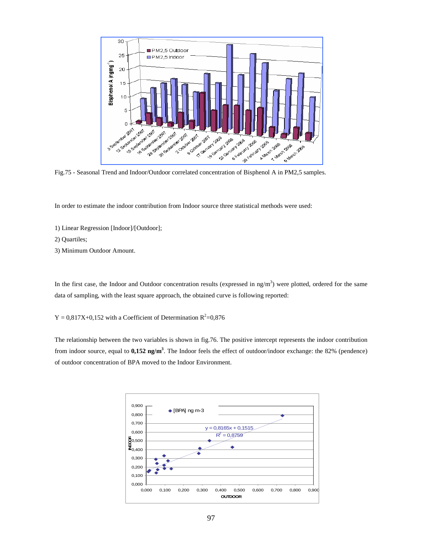

Fig.75 - Seasonal Trend and Indoor/Outdoor correlated concentration of Bisphenol A in PM2,5 samples.

In order to estimate the indoor contribution from Indoor source three statistical methods were used:

- 1) Linear Regression [Indoor]/[Outdoor];
- 2) Quartiles;
- 3) Minimum Outdoor Amount.

In the first case, the Indoor and Outdoor concentration results (expressed in  $\text{ng/m}^3$ ) were plotted, ordered for the same data of sampling, with the least square approach, the obtained curve is following reported:

 $Y = 0.817X+0.152$  with a Coefficient of Determination  $R^2=0.876$ 

The relationship between the two variables is shown in fig.76. The positive intercept represents the indoor contribution from indoor source, equal to **0,152 ng/m<sup>3</sup>** . The Indoor feels the effect of outdoor/indoor exchange: the 82% (pendence) of outdoor concentration of BPA moved to the Indoor Environment.

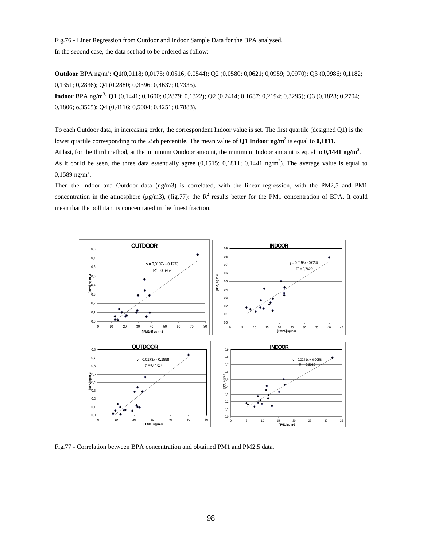Fig.76 - Liner Regression from Outdoor and Indoor Sample Data for the BPA analysed. In the second case, the data set had to be ordered as follow:

**Outdoor** BPA ng/m<sup>3</sup> : **Q1**(0,0118; 0,0175; 0,0516; 0,0544); Q2 (0,0580; 0,0621; 0,0959; 0,0970); Q3 (0,0986; 0,1182; 0,1351; 0,2836); Q4 (0,2880; 0,3396; 0,4637; 0,7335).

**Indoor** BPA ng/m<sup>3</sup> : **Q1** (0,1441; 0,1600; 0,2879; 0,1322); Q2 (0,2414; 0,1687; 0,2194; 0,3295); Q3 (0,1828; 0,2704; 0,1806; o,3565); Q4 (0,4116; 0,5004; 0,4251; 0,7883).

To each Outdoor data, in increasing order, the correspondent Indoor value is set. The first quartile (designed Q1) is the lower quartile corresponding to the 25th percentile. The mean value of **Q1 Indoor ng/m<sup>3</sup>** is equal to **0,1811.** At last, for the third method, at the minimum Outdoor amount, the minimum Indoor amount is equal to **0,1441 ng/m<sup>3</sup>** . As it could be seen, the three data essentially agree  $(0,1515; 0,1811; 0,1441 \text{ ng/m}^3)$ . The average value is equal to  $0,1589$  ng/m<sup>3</sup>.

Then the Indoor and Outdoor data (ng/m3) is correlated, with the linear regression, with the PM2,5 and PM1 concentration in the atmosphere ( $\mu$ g/m3), (fig.77): the R<sup>2</sup> results better for the PM1 concentration of BPA. It could mean that the pollutant is concentrated in the finest fraction.



Fig.77 - Correlation between BPA concentration and obtained PM1 and PM2,5 data.